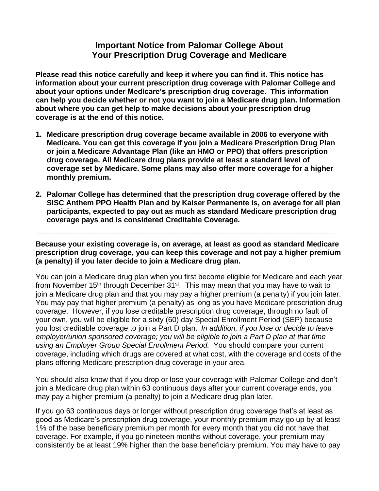## **Important Notice from Palomar College About Your Prescription Drug Coverage and Medicare**

**Please read this notice carefully and keep it where you can find it. This notice has information about your current prescription drug coverage with Palomar College and about your options under Medicare's prescription drug coverage. This information can help you decide whether or not you want to join a Medicare drug plan. Information about where you can get help to make decisions about your prescription drug coverage is at the end of this notice.**

- **1. Medicare prescription drug coverage became available in 2006 to everyone with Medicare. You can get this coverage if you join a Medicare Prescription Drug Plan or join a Medicare Advantage Plan (like an HMO or PPO) that offers prescription drug coverage. All Medicare drug plans provide at least a standard level of coverage set by Medicare. Some plans may also offer more coverage for a higher monthly premium.**
- **2. Palomar College has determined that the prescription drug coverage offered by the SISC Anthem PPO Health Plan and by Kaiser Permanente is, on average for all plan participants, expected to pay out as much as standard Medicare prescription drug coverage pays and is considered Creditable Coverage.**

**Because your existing coverage is, on average, at least as good as standard Medicare prescription drug coverage, you can keep this coverage and not pay a higher premium (a penalty) if you later decide to join a Medicare drug plan.**

**\_\_\_\_\_\_\_\_\_\_\_\_\_\_\_\_\_\_\_\_\_\_\_\_\_\_\_\_\_\_\_\_\_\_\_\_\_\_\_\_\_\_\_\_\_\_\_\_\_\_\_\_\_\_\_\_\_\_\_\_\_\_**

You can join a Medicare drug plan when you first become eligible for Medicare and each year from November 15<sup>th</sup> through December 31<sup>st</sup>. This may mean that you may have to wait to join a Medicare drug plan and that you may pay a higher premium (a penalty) if you join later. You may pay that higher premium (a penalty) as long as you have Medicare prescription drug coverage. However, if you lose creditable prescription drug coverage, through no fault of your own, you will be eligible for a sixty (60) day Special Enrollment Period (SEP) because you lost creditable coverage to join a Part D plan. *In addition, if you lose or decide to leave employer/union sponsored coverage; you will be eligible to join a Part D plan at that time using an Employer Group Special Enrollment Period.* You should compare your current coverage, including which drugs are covered at what cost, with the coverage and costs of the plans offering Medicare prescription drug coverage in your area.

You should also know that if you drop or lose your coverage with Palomar College and don't join a Medicare drug plan within 63 continuous days after your current coverage ends, you may pay a higher premium (a penalty) to join a Medicare drug plan later.

If you go 63 continuous days or longer without prescription drug coverage that's at least as good as Medicare's prescription drug coverage, your monthly premium may go up by at least 1% of the base beneficiary premium per month for every month that you did not have that coverage. For example, if you go nineteen months without coverage, your premium may consistently be at least 19% higher than the base beneficiary premium. You may have to pay